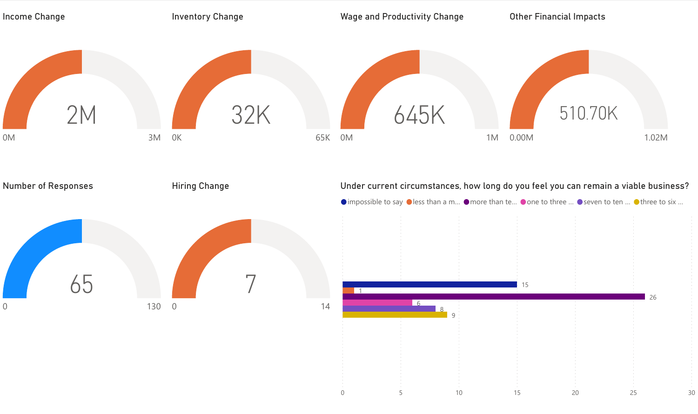